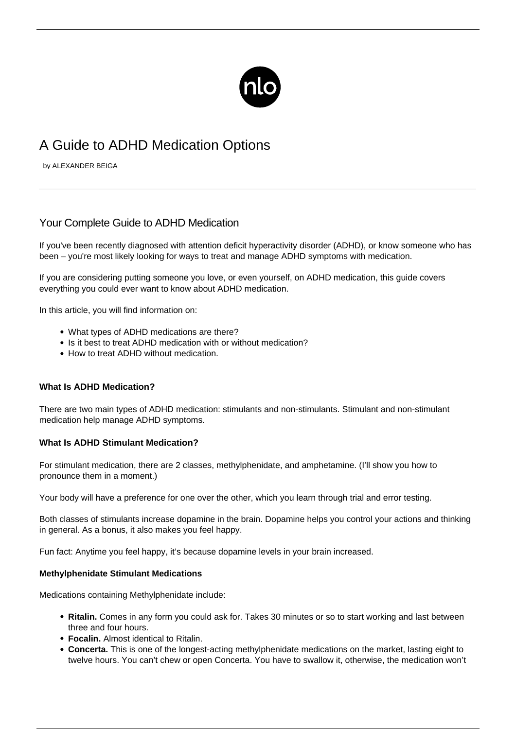

# A Guide to ADHD Medication Options

by ALEXANDER BEIGA

## Your Complete Guide to ADHD Medication

If you've been recently diagnosed with [attention deficit hyperactivity disorder](/what-is-adhd/) (ADHD), or know someone who has been – you're most likely looking for ways to treat and manage [ADHD symptoms](/adhd-symptoms/) with medication.

If you are considering putting someone you love, or even yourself, on ADHD medication, this guide covers everything you could ever want to know about ADHD medication.

In this article, you will find information on:

- What types of ADHD medications are there?
- Is it best to treat ADHD medication with or without medication?
- How to treat ADHD without medication

#### **What Is ADHD Medication?**

There are two main types of ADHD medication: stimulants and non-stimulants. Stimulant and non-stimulant medication help manage ADHD symptoms.

#### **What Is ADHD Stimulant Medication?**

For stimulant medication, there are 2 classes, methylphenidate, and amphetamine. (I'll show you how to pronounce them in a moment.)

Your body will have a preference for one over the other, which you learn through trial and error testing.

Both classes of stimulants increase dopamine in the brain. Dopamine helps you control your actions and thinking in general. As a bonus, it also makes you feel happy.

Fun fact: Anytime you feel happy, it's because dopamine levels in your brain increased.

#### **Methylphenidate Stimulant Medications**

Medications containing Methylphenidate include:

- **Ritalin.** Comes in any form you could ask for. Takes 30 minutes or so to start working and last between three and four hours.
- **Focalin.** Almost identical to Ritalin.
- **Concerta.** This is one of the longest-acting methylphenidate medications on the market, lasting eight to twelve hours. You can't chew or open Concerta. You have to swallow it, otherwise, the medication won't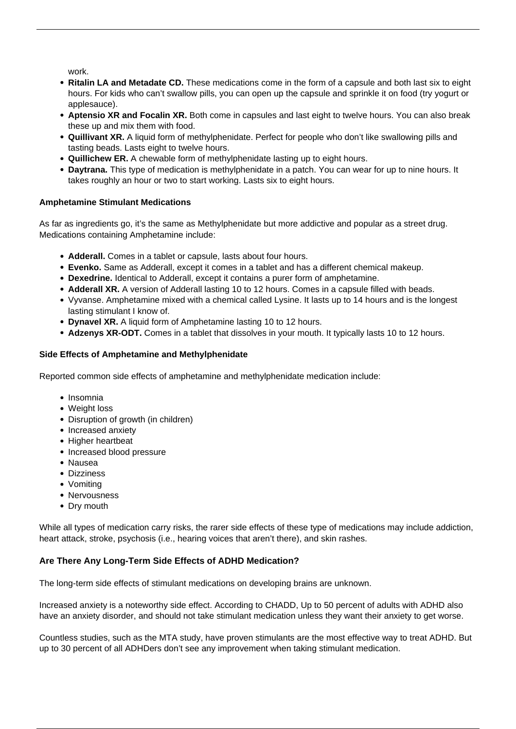work.

- **Ritalin LA and Metadate CD.** These medications come in the form of a capsule and both last six to eight hours. For kids who can't swallow pills, you can open up the capsule and sprinkle it on food (try yogurt or applesauce).
- **Aptensio XR and Focalin XR.** Both come in capsules and last eight to twelve hours. You can also break these up and mix them with food.
- **Quillivant XR.** A liquid form of methylphenidate. Perfect for people who don't like swallowing pills and tasting beads. Lasts eight to twelve hours.
- **Quillichew ER.** A chewable form of methylphenidate lasting up to eight hours.
- **Daytrana.** This type of medication is methylphenidate in a patch. You can wear for up to nine hours. It takes roughly an hour or two to start working. Lasts six to eight hours.

## **Amphetamine Stimulant Medications**

As far as ingredients go, it's the same as Methylphenidate but more addictive and popular as a street drug. Medications containing Amphetamine include:

- **Adderall.** Comes in a tablet or capsule, lasts about four hours.
- **Evenko.** Same as Adderall, except it comes in a tablet and has a different chemical makeup.
- **Dexedrine.** Identical to Adderall, except it contains a purer form of amphetamine.
- **Adderall XR.** A version of Adderall lasting 10 to 12 hours. Comes in a capsule filled with beads.
- Vyvanse. Amphetamine mixed with a chemical called Lysine. It lasts up to 14 hours and is the longest lasting stimulant I know of.
- **Dynavel XR.** A liquid form of Amphetamine lasting 10 to 12 hours.
- **Adzenys XR-ODT.** Comes in a tablet that dissolves in your mouth. It typically lasts 10 to 12 hours.

## **Side Effects of Amphetamine and Methylphenidate**

Reported common side effects of amphetamine and methylphenidate medication include:

- Insomnia
- Weight loss
- Disruption of growth (in children)
- Increased anxiety
- Higher heartbeat
- Increased blood pressure
- Nausea
- Dizziness
- Vomiting
- Nervousness
- Dry mouth

While all types of medication carry risks, the rarer side effects of these type of medications may include addiction, heart attack, stroke, psychosis (i.e., hearing voices that aren't there), and skin rashes.

## **Are There Any Long-Term Side Effects of ADHD Medication?**

The long-term side effects of stimulant medications on developing brains are unknown.

Increased anxiety is a noteworthy side effect. According to CHADD, Up to 50 percent of adults with ADHD also have an anxiety disorder, and should not take stimulant medication unless they want their anxiety to get worse.

Countless studies, such as the MTA study, have proven stimulants are the most effective way to treat ADHD. But up to 30 percent of all ADHDers don't see any improvement when taking stimulant medication.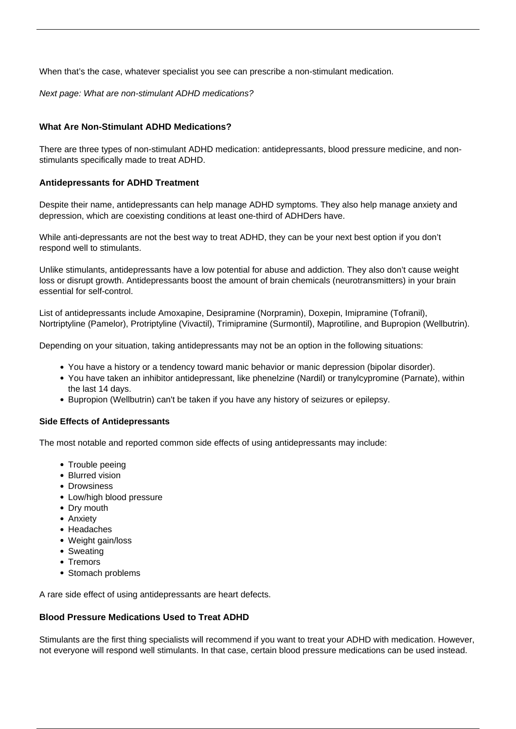When that's the case, whatever specialist you see can prescribe a non-stimulant medication.

Next page: What are non-stimulant ADHD medications?

## **What Are Non-Stimulant ADHD Medications?**

There are three types of non-stimulant ADHD medication: antidepressants, blood pressure medicine, and nonstimulants specifically made to treat ADHD.

## **Antidepressants for ADHD Treatment**

Despite their name, antidepressants can help manage ADHD symptoms. They also help manage anxiety and depression, which are coexisting conditions at least one-third of ADHDers have.

While anti-depressants are not the best way to treat ADHD, they can be your next best option if you don't respond well to stimulants.

Unlike stimulants, antidepressants have a low potential for abuse and addiction. They also don't cause weight loss or disrupt growth. Antidepressants boost the amount of brain chemicals (neurotransmitters) in your brain essential for self-control.

List of antidepressants include Amoxapine, Desipramine (Norpramin), Doxepin, Imipramine (Tofranil), Nortriptyline (Pamelor), Protriptyline (Vivactil), Trimipramine (Surmontil), Maprotiline, and Bupropion (Wellbutrin).

Depending on your situation, taking antidepressants may not be an option in the following situations:

- You have a history or a tendency toward manic behavior or manic depression (bipolar disorder).
- You have taken an inhibitor antidepressant, like phenelzine (Nardil) or tranylcypromine (Parnate), within the last 14 days.
- Bupropion (Wellbutrin) can't be taken if you have any history of seizures or epilepsy.

## **Side Effects of Antidepressants**

The most notable and reported common side effects of using antidepressants may include:

- Trouble peeing
- Blurred vision
- Drowsiness
- Low/high blood pressure
- Dry mouth
- Anxiety
- Headaches
- Weight gain/loss
- Sweating
- Tremors
- Stomach problems

A rare side effect of using antidepressants are heart defects.

## **Blood Pressure Medications Used to Treat ADHD**

Stimulants are the first thing specialists will recommend if you want to treat your ADHD with medication. However, not everyone will respond well stimulants. In that case, certain blood pressure medications can be used instead.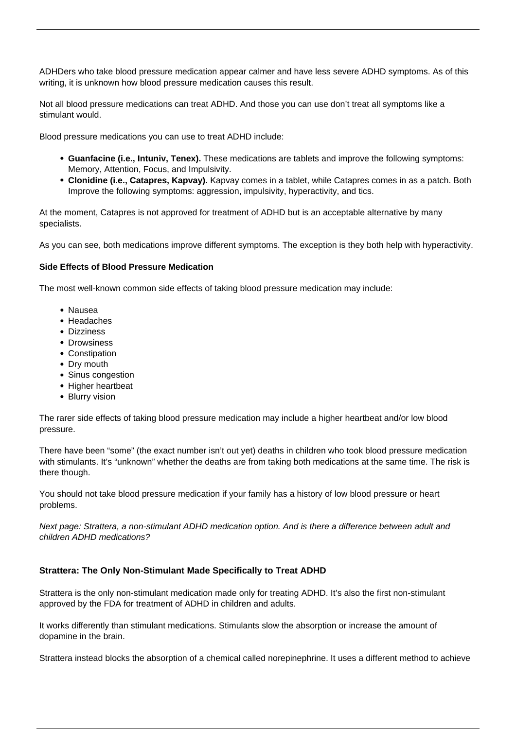ADHDers who take blood pressure medication appear calmer and have less severe ADHD symptoms. As of this writing, it is unknown how blood pressure medication causes this result.

Not all blood pressure medications can treat ADHD. And those you can use don't treat all symptoms like a stimulant would.

Blood pressure medications you can use to treat ADHD include:

- **Guanfacine (i.e., Intuniv, Tenex).** These medications are tablets and improve the following symptoms: Memory, Attention, Focus, and Impulsivity.
- **Clonidine (i.e., Catapres, Kapvay).** Kapvay comes in a tablet, while Catapres comes in as a patch. Both Improve the following symptoms: aggression, impulsivity, hyperactivity, and tics.

At the moment, Catapres is not approved for treatment of ADHD but is an acceptable alternative by many specialists.

As you can see, both medications improve different symptoms. The exception is they both help with hyperactivity.

#### **Side Effects of Blood Pressure Medication**

The most well-known common side effects of taking blood pressure medication may include:

- Nausea
- Headaches
- Dizziness
- Drowsiness
- Constipation
- Dry mouth
- Sinus congestion
- Higher heartbeat
- Blurry vision

The rarer side effects of taking blood pressure medication may include a higher heartbeat and/or low blood pressure.

There have been "some" (the exact number isn't out yet) deaths in children who took blood pressure medication with stimulants. It's "unknown" whether the deaths are from taking both medications at the same time. The risk is there though.

You should not take blood pressure medication if your family has a history of low blood pressure or heart problems.

Next page: Strattera, a non-stimulant ADHD medication option. And is there a difference between adult and children ADHD medications?

#### **Strattera: The Only Non-Stimulant Made Specifically to Treat ADHD**

Strattera is the only non-stimulant medication made only for treating ADHD. It's also the first non-stimulant approved by the FDA for treatment of ADHD in children and adults.

It works differently than stimulant medications. Stimulants slow the absorption or increase the amount of dopamine in the brain.

Strattera instead blocks the absorption of a chemical called norepinephrine. It uses a different method to achieve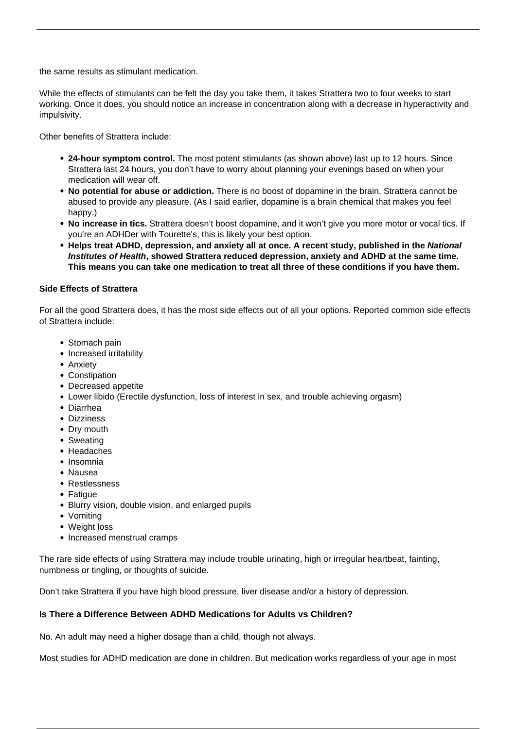the same results as stimulant medication.

While the effects of stimulants can be felt the day you take them, it takes Strattera two to four weeks to start working. Once it does, you should notice an increase in concentration along with a decrease in hyperactivity and impulsivity.

Other benefits of Strattera include:

- **24-hour symptom control.** The most potent stimulants (as shown above) last up to 12 hours. Since Strattera last 24 hours, you don't have to worry about planning your evenings based on when your medication will wear off.
- **No potential for abuse or addiction.** There is no boost of dopamine in the brain, Strattera cannot be abused to provide any pleasure. (As I said earlier, dopamine is a brain chemical that makes you feel happy.)
- **No increase in tics.** Strattera doesn't boost dopamine, and it won't give you more motor or vocal tics. If you're an ADHDer with Tourette's, this is likely your best option.
- **Helps treat ADHD, depression, and anxiety all at once. A recent study, published in the National Institutes of Health, showed Strattera reduced depression, anxiety and ADHD at the same time. This means you can take one medication to treat all three of these conditions if you have them.**

#### **Side Effects of Strattera**

For all the good Strattera does, it has the most side effects out of all your options. Reported common side effects of Strattera include:

- Stomach pain
- Increased irritability
- Anxiety
- Constipation
- Decreased appetite
- Lower libido (Erectile dysfunction, loss of interest in sex, and trouble achieving orgasm)
- Diarrhea
- Dizziness
- Dry mouth
- Sweating
- Headaches
- Insomnia
- Nausea
- Restlessness
- Fatigue
- Blurry vision, double vision, and enlarged pupils
- Vomiting
- Weight loss
- Increased menstrual cramps

The rare side effects of using Strattera may include trouble urinating, high or irregular heartbeat, fainting, numbness or tingling, or thoughts of suicide.

Don't take Strattera if you have high blood pressure, liver disease and/or a history of depression.

#### **Is There a Difference Between ADHD Medications for Adults vs Children?**

No. An adult may need a higher dosage than a child, though not always.

Most studies for ADHD medication are done in children. But medication works regardless of your age in most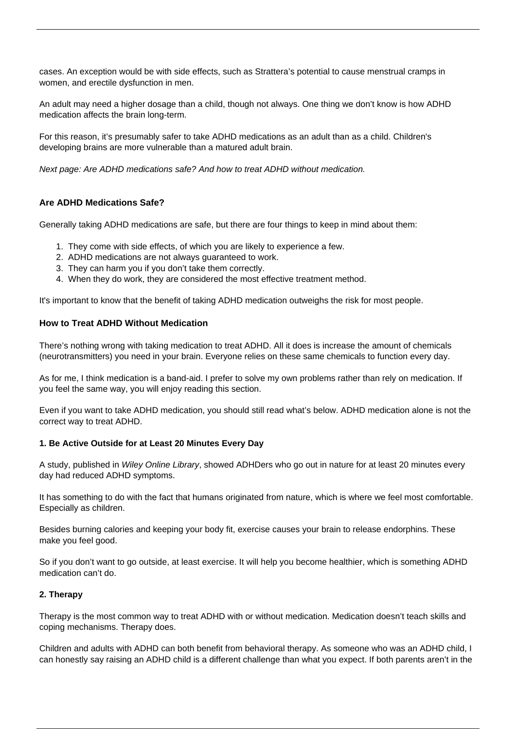cases. An exception would be with side effects, such as Strattera's potential to cause menstrual cramps in women, and erectile dysfunction in men.

An adult may need a higher dosage than a child, though not always. One thing we don't know is how ADHD medication affects the brain long-term.

For this reason, it's presumably safer to take ADHD medications as an adult than as a child. Children's developing brains are more vulnerable than a matured adult brain.

Next page: Are ADHD medications safe? And how to treat ADHD without medication.

## **Are ADHD Medications Safe?**

Generally taking ADHD medications are safe, but there are four things to keep in mind about them:

- 1. They come with side effects, of which you are likely to experience a few.
- 2. ADHD medications are not always guaranteed to work.
- 3. They can harm you if you don't take them correctly.
- 4. When they do work, they are considered the most effective treatment method.

It's important to know that the benefit of taking ADHD medication outweighs the risk for most people.

#### **How to Treat ADHD Without Medication**

There's nothing wrong with taking medication to treat ADHD. All it does is increase the amount of chemicals (neurotransmitters) you need in your brain. Everyone relies on these same chemicals to function every day.

As for me, I think medication is a band-aid. I prefer to solve my own problems rather than rely on medication. If you feel the same way, you will enjoy reading this section.

Even if you want to take ADHD medication, you should still read what's below. ADHD medication alone is not the correct way to treat ADHD.

#### **1. Be Active Outside for at Least 20 Minutes Every Day**

A study, published in Wiley Online Library, showed ADHDers who go out in nature for at least 20 minutes every day had reduced ADHD symptoms.

It has something to do with the fact that humans originated from nature, which is where we feel most comfortable. Especially as children.

Besides burning calories and keeping your body fit, exercise causes your brain to release endorphins. These make you feel good.

So if you don't want to go outside, at least exercise. It will help you become healthier, which is something ADHD medication can't do.

#### **2. Therapy**

Therapy is the most common way to treat ADHD with or without medication. Medication doesn't teach skills and coping mechanisms. Therapy does.

Children and adults with ADHD can both benefit from behavioral therapy. As someone who was an ADHD child, I can honestly say raising an ADHD child is a different challenge than what you expect. If both parents aren't in the